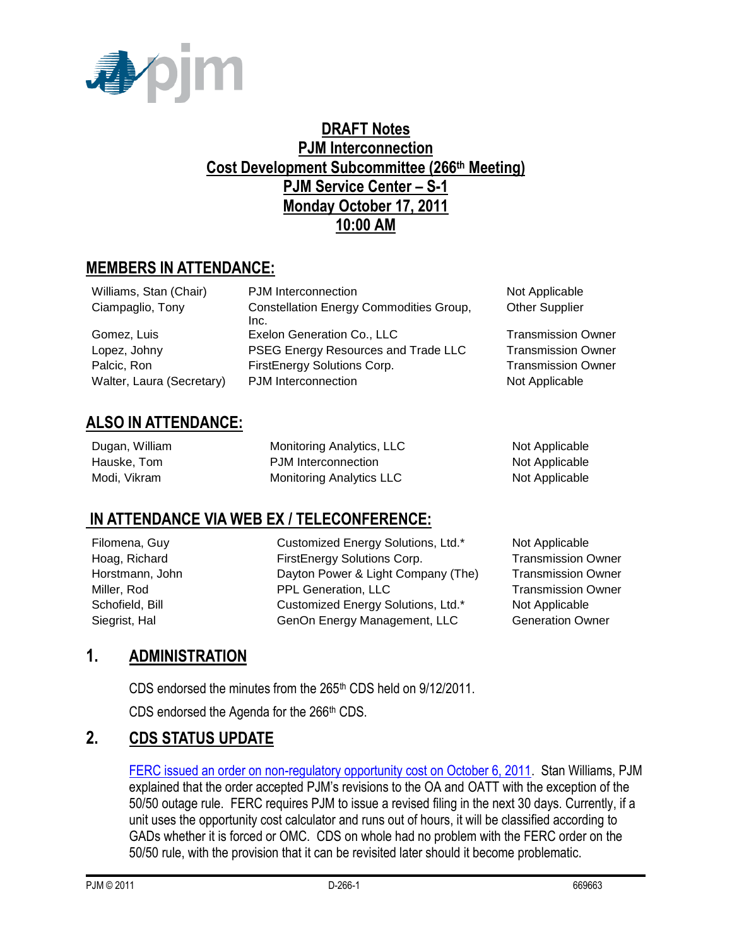

## **DRAFT Notes PJM Interconnection Cost Development Subcommittee (266th Meeting) PJM Service Center – S-1 Monday October 17, 2011 10:00 AM**

# **MEMBERS IN ATTENDANCE:**

| Williams, Stan (Chair)    | PJM Interconnection                            | Not Applicable            |
|---------------------------|------------------------------------------------|---------------------------|
| Ciampaglio, Tony          | <b>Constellation Energy Commodities Group,</b> | <b>Other Supplier</b>     |
|                           | Inc.                                           |                           |
| Gomez, Luis               | Exelon Generation Co., LLC                     | <b>Transmission Owner</b> |
| Lopez, Johny              | PSEG Energy Resources and Trade LLC            | <b>Transmission Owner</b> |
| Palcic, Ron               | FirstEnergy Solutions Corp.                    | <b>Transmission Owner</b> |
| Walter, Laura (Secretary) | PJM Interconnection                            | Not Applicable            |
|                           |                                                |                           |

## **ALSO IN ATTENDANCE:**

| Dugan, William | Monitoring Analytics, LLC | Not Applicable |
|----------------|---------------------------|----------------|
| Hauske, Tom    | PJM Interconnection       | Not Applicable |
| Modi, Vikram   | Monitoring Analytics LLC  | Not Applicable |

### **IN ATTENDANCE VIA WEB EX / TELECONFERENCE:**

Filomena, Guy **Customized Energy Solutions, Ltd.\*** Not Applicable Hoag, Richard FirstEnergy Solutions Corp. Transmission Owner Horstmann, John **Dayton Power & Light Company (The)** Transmission Owner Miller, Rod **PPL Generation, LLC** Transmission Owner Schofield, Bill **Customized Energy Solutions, Ltd.\*** Not Applicable Siegrist, Hal GenOn Energy Management, LLC Generation Owner

# **1. ADMINISTRATION**

CDS endorsed the minutes from the 265<sup>th</sup> CDS held on 9/12/2011.

CDS endorsed the Agenda for the 266<sup>th</sup> CDS.

# **2. CDS STATUS UPDATE**

[FERC issued an order on non-regulatory opportunity cost on October 6, 2011.](http://elibrary.ferc.gov/idmws/common/OpenNat.asp?fileID=12786067) Stan Williams, PJM explained that the order accepted PJM's revisions to the OA and OATT with the exception of the 50/50 outage rule. FERC requires PJM to issue a revised filing in the next 30 days. Currently, if a unit uses the opportunity cost calculator and runs out of hours, it will be classified according to GADs whether it is forced or OMC. CDS on whole had no problem with the FERC order on the 50/50 rule, with the provision that it can be revisited later should it become problematic.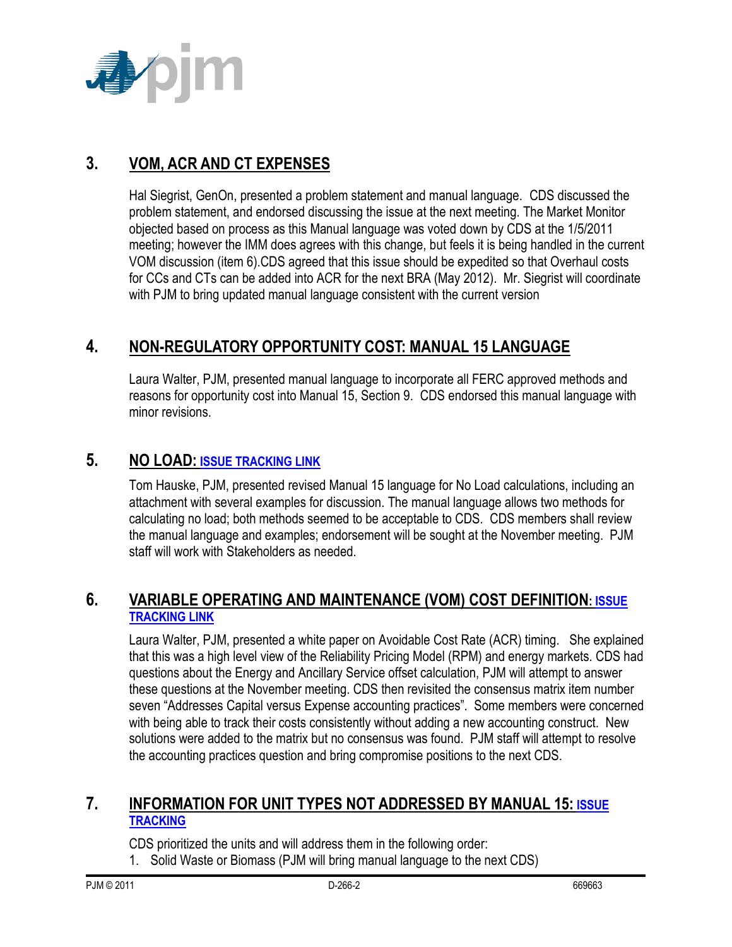

## **3. VOM, ACR AND CT EXPENSES**

Hal Siegrist, GenOn, presented a problem statement and manual language. CDS discussed the problem statement, and endorsed discussing the issue at the next meeting. The Market Monitor objected based on process as this Manual language was voted down by CDS at the 1/5/2011 meeting; however the IMM does agrees with this change, but feels it is being handled in the current VOM discussion (item 6).CDS agreed that this issue should be expedited so that Overhaul costs for CCs and CTs can be added into ACR for the next BRA (May 2012). Mr. Siegrist will coordinate with PJM to bring updated manual language consistent with the current version

## **4. NON-REGULATORY OPPORTUNITY COST: MANUAL 15 LANGUAGE**

Laura Walter, PJM, presented manual language to incorporate all FERC approved methods and reasons for opportunity cost into Manual 15, Section 9. CDS endorsed this manual language with minor revisions.

#### **5. NO LOAD: [ISSUE TRACKING LINK](http://www.pjm.com/committees-and-groups/issue-tracking/issue-tracking-details.aspx?Issue=%7bB4390F49-FB83-4790-B1E7-89EF1844E073%7d)**

Tom Hauske, PJM, presented revised Manual 15 language for No Load calculations, including an attachment with several examples for discussion. The manual language allows two methods for calculating no load; both methods seemed to be acceptable to CDS. CDS members shall review the manual language and examples; endorsement will be sought at the November meeting. PJM staff will work with Stakeholders as needed

#### **6. VARIABLE OPERATING AND MAINTENANCE (VOM) COST DEFINITION: [ISSUE](http://www.pjm.com/committees-and-groups/issue-tracking/issue-tracking-details.aspx?Issue=%7b189C7210-9A23-4782-A5B5-634A6887CFE1%7d)  [TRACKING LINK](http://www.pjm.com/committees-and-groups/issue-tracking/issue-tracking-details.aspx?Issue=%7b189C7210-9A23-4782-A5B5-634A6887CFE1%7d)**

Laura Walter, PJM, presented a white paper on Avoidable Cost Rate (ACR) timing. She explained that this was a high level view of the Reliability Pricing Model (RPM) and energy markets. CDS had questions about the Energy and Ancillary Service offset calculation, PJM will attempt to answer these questions at the November meeting. CDS then revisited the consensus matrix item number seven "Addresses Capital versus Expense accounting practices". Some members were concerned with being able to track their costs consistently without adding a new accounting construct. New solutions were added to the matrix but no consensus was found. PJM staff will attempt to resolve the accounting practices question and bring compromise positions to the next CDS.

#### **7. INFORMATION FOR UNIT TYPES NOT ADDRESSED BY MANUAL 15: [ISSUE](http://pjm.com/committees-and-groups/issue-tracking/issue-tracking-details.aspx?Issue=%7b3159C1F6-5498-412A-84F2-D4EA3F5834C6%7d)  [TRACKING](http://pjm.com/committees-and-groups/issue-tracking/issue-tracking-details.aspx?Issue=%7b3159C1F6-5498-412A-84F2-D4EA3F5834C6%7d)**

CDS prioritized the units and will address them in the following order:

1. Solid Waste or Biomass (PJM will bring manual language to the next CDS)